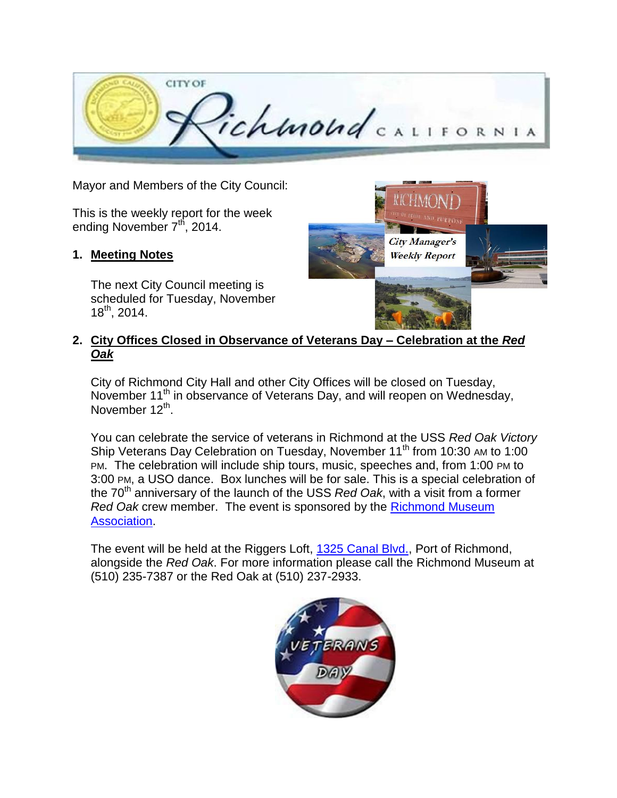

Mayor and Members of the City Council:

This is the weekly report for the week ending November  $7<sup>th</sup>$ , 2014.

## **1. Meeting Notes**

The next City Council meeting is scheduled for Tuesday, November  $18^{th}$ , 2014.



## **2. City Offices Closed in Observance of Veterans Day – Celebration at the** *Red Oak*

City of Richmond City Hall and other City Offices will be closed on Tuesday, November 11<sup>th</sup> in observance of Veterans Day, and will reopen on Wednesday, November 12<sup>th</sup>.

You can celebrate the service of veterans in Richmond at the USS *Red Oak Victory* Ship Veterans Day Celebration on Tuesday, November 11<sup>th</sup> from 10:30 AM to 1:00 PM. The celebration will include ship tours, music, speeches and, from 1:00 PM to 3:00 PM, a USO dance. Box lunches will be for sale. This is a special celebration of the 70<sup>th</sup> anniversary of the launch of the USS *Red Oak*, with a visit from a former *Red Oak* crew member. The event is sponsored by the [Richmond Museum](http://r20.rs6.net/tn.jsp?f=001LsZ1ktutTsfRGXZ3RPUXtqRmGf43Qh95FPqpboB47Mp17198osNY9sl5LLVm0GD8VNrQ-j1bNH6rCvvDHzQTskog46PRH-O32fy56hmW_dVmGp7khBDht3PtB2eulKTY5B3QInbI4xmrAOFqzsU2YRjzWQ54zu-fzokmF8nrBrhUagI63fE7N8mlJk0OlFAA&c=8GENnw8hsLTQFhpcgJj2sc5Q5hhSPX9NQB3cwL5jw5JV_n4_CIddFw==&ch=PpIvd1lLuekAbPKupU3tpTLvGHQ9nYTSh8hoBTr3YMNbyfVcyIcvYw==)  [Association.](http://r20.rs6.net/tn.jsp?f=001LsZ1ktutTsfRGXZ3RPUXtqRmGf43Qh95FPqpboB47Mp17198osNY9sl5LLVm0GD8VNrQ-j1bNH6rCvvDHzQTskog46PRH-O32fy56hmW_dVmGp7khBDht3PtB2eulKTY5B3QInbI4xmrAOFqzsU2YRjzWQ54zu-fzokmF8nrBrhUagI63fE7N8mlJk0OlFAA&c=8GENnw8hsLTQFhpcgJj2sc5Q5hhSPX9NQB3cwL5jw5JV_n4_CIddFw==&ch=PpIvd1lLuekAbPKupU3tpTLvGHQ9nYTSh8hoBTr3YMNbyfVcyIcvYw==)

The event will be held at the Riggers Loft, [1325 Canal Blvd.,](http://r20.rs6.net/tn.jsp?f=001LsZ1ktutTsfRGXZ3RPUXtqRmGf43Qh95FPqpboB47Mp17198osNY9m8_MYP5oRQYaUnyKuQaKosNIqgn5SaVW9y2DkgPXxMy2fI21C-aTHaZWVcR9uk7OIqpXGwVS9cdkBotZskSsBzBU6VoZ9qtm74Vi8GlUXXx99m20catHMhlb0BGZh4gBRp0Kaw70KxKb6GFO_vPI8KpaftaZDGlRIVxwrZ3fDDVm5hwBGhOVeQUvkjkOocfXG68glzvFVGoydg1ntcizjACQKmv2XEgbR0L1QM56QkMPAnX8ROdyv3gH6naPWjex2ZpLBuEJXB2d8ZWSEeldbLStKJb6IiIpB-NmlgdcgnCNAlUWG4EhiySIV4SFhbXokETenlVMGfqgS2SKscmSEg=&c=8GENnw8hsLTQFhpcgJj2sc5Q5hhSPX9NQB3cwL5jw5JV_n4_CIddFw==&ch=PpIvd1lLuekAbPKupU3tpTLvGHQ9nYTSh8hoBTr3YMNbyfVcyIcvYw==) Port of Richmond, alongside the *Red Oak*. For more information please call the Richmond Museum at (510) 235-7387 or the Red Oak at (510) 237-2933.

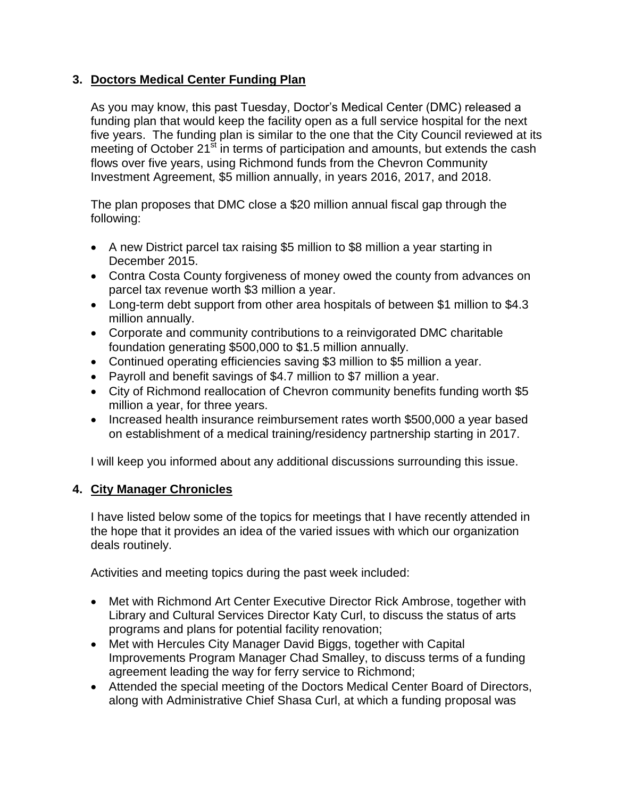## **3. Doctors Medical Center Funding Plan**

As you may know, this past Tuesday, Doctor's Medical Center (DMC) released a funding plan that would keep the facility open as a full service hospital for the next five years. The funding plan is similar to the one that the City Council reviewed at its meeting of October  $21^{5t}$  in terms of participation and amounts, but extends the cash flows over five years, using Richmond funds from the Chevron Community Investment Agreement, \$5 million annually, in years 2016, 2017, and 2018.

The plan proposes that DMC close a \$20 million annual fiscal gap through the following:

- A new District parcel tax raising \$5 million to \$8 million a year starting in December 2015.
- Contra Costa County forgiveness of money owed the county from advances on parcel tax revenue worth \$3 million a year.
- Long-term debt support from other area hospitals of between \$1 million to \$4.3 million annually.
- Corporate and community contributions to a reinvigorated DMC charitable foundation generating \$500,000 to \$1.5 million annually.
- Continued operating efficiencies saving \$3 million to \$5 million a year.
- Payroll and benefit savings of \$4.7 million to \$7 million a year.
- City of Richmond reallocation of Chevron community benefits funding worth \$5 million a year, for three years.
- Increased health insurance reimbursement rates worth \$500,000 a year based on establishment of a medical training/residency partnership starting in 2017.

I will keep you informed about any additional discussions surrounding this issue.

## **4. City Manager Chronicles**

I have listed below some of the topics for meetings that I have recently attended in the hope that it provides an idea of the varied issues with which our organization deals routinely.

Activities and meeting topics during the past week included:

- Met with Richmond Art Center Executive Director Rick Ambrose, together with Library and Cultural Services Director Katy Curl, to discuss the status of arts programs and plans for potential facility renovation;
- Met with Hercules City Manager David Biggs, together with Capital Improvements Program Manager Chad Smalley, to discuss terms of a funding agreement leading the way for ferry service to Richmond;
- Attended the special meeting of the Doctors Medical Center Board of Directors, along with Administrative Chief Shasa Curl, at which a funding proposal was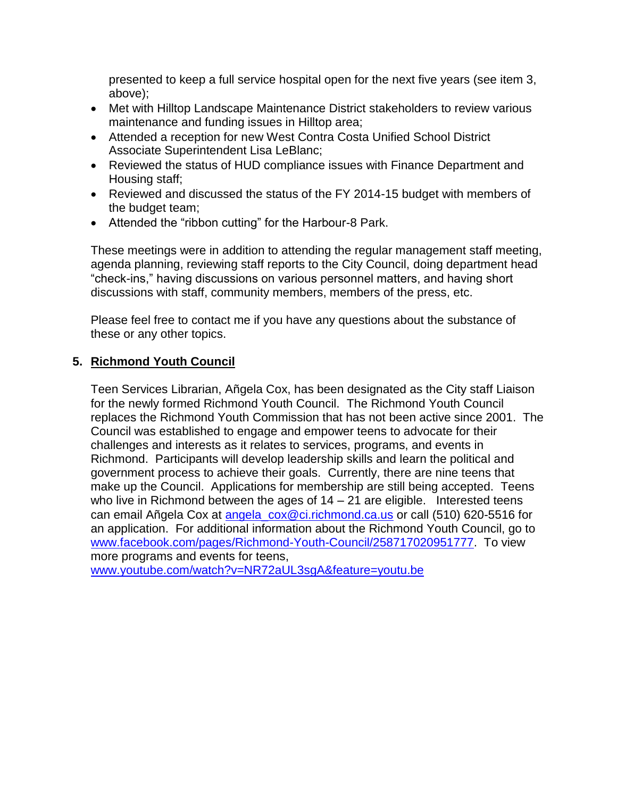presented to keep a full service hospital open for the next five years (see item 3, above);

- Met with Hilltop Landscape Maintenance District stakeholders to review various maintenance and funding issues in Hilltop area;
- Attended a reception for new West Contra Costa Unified School District Associate Superintendent Lisa LeBlanc;
- Reviewed the status of HUD compliance issues with Finance Department and Housing staff;
- Reviewed and discussed the status of the FY 2014-15 budget with members of the budget team;
- Attended the "ribbon cutting" for the Harbour-8 Park.

These meetings were in addition to attending the regular management staff meeting, agenda planning, reviewing staff reports to the City Council, doing department head "check-ins," having discussions on various personnel matters, and having short discussions with staff, community members, members of the press, etc.

Please feel free to contact me if you have any questions about the substance of these or any other topics.

## **5. Richmond Youth Council**

Teen Services Librarian, Añgela Cox, has been designated as the City staff Liaison for the newly formed Richmond Youth Council. The Richmond Youth Council replaces the Richmond Youth Commission that has not been active since 2001. The Council was established to engage and empower teens to advocate for their challenges and interests as it relates to services, programs, and events in Richmond. Participants will develop leadership skills and learn the political and government process to achieve their goals. Currently, there are nine teens that make up the Council. Applications for membership are still being accepted. Teens who live in Richmond between the ages of  $14 - 21$  are eligible. Interested teens can email Añgela Cox at [angela\\_cox@ci.richmond.ca.us](mailto:angela_cox@ci.richmond.ca.us) or call (510) 620-5516 for an application. For additional information about the Richmond Youth Council, go to [www.facebook.com/pages/Richmond-Youth-Council/258717020951777.](http://www.facebook.com/pages/Richmond-Youth-Council/258717020951777) To view more programs and events for teens,

[www.youtube.com/watch?v=NR72aUL3sgA&feature=youtu.be](http://www.youtube.com/watch?v=NR72aUL3sgA&feature=youtu.be)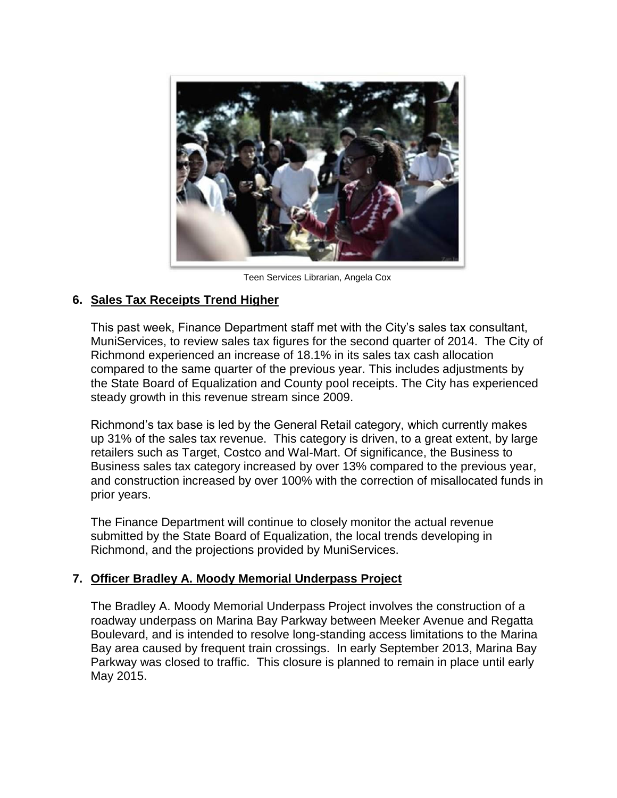

Teen Services Librarian, Angela Cox

## **6. Sales Tax Receipts Trend Higher**

This past week, Finance Department staff met with the City's sales tax consultant, MuniServices, to review sales tax figures for the second quarter of 2014. The City of Richmond experienced an increase of 18.1% in its sales tax cash allocation compared to the same quarter of the previous year. This includes adjustments by the State Board of Equalization and County pool receipts. The City has experienced steady growth in this revenue stream since 2009.

Richmond's tax base is led by the General Retail category, which currently makes up 31% of the sales tax revenue. This category is driven, to a great extent, by large retailers such as Target, Costco and Wal-Mart. Of significance, the Business to Business sales tax category increased by over 13% compared to the previous year, and construction increased by over 100% with the correction of misallocated funds in prior years.

The Finance Department will continue to closely monitor the actual revenue submitted by the State Board of Equalization, the local trends developing in Richmond, and the projections provided by MuniServices.

## **7. Officer Bradley A. Moody Memorial Underpass Project**

The Bradley A. Moody Memorial Underpass Project involves the construction of a roadway underpass on Marina Bay Parkway between Meeker Avenue and Regatta Boulevard, and is intended to resolve long-standing access limitations to the Marina Bay area caused by frequent train crossings. In early September 2013, Marina Bay Parkway was closed to traffic. This closure is planned to remain in place until early May 2015.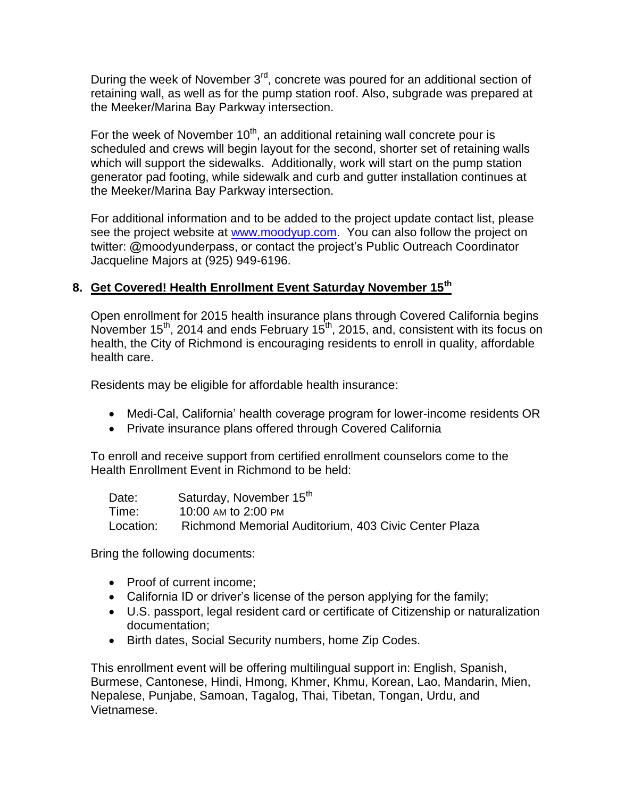During the week of November 3<sup>rd</sup>, concrete was poured for an additional section of retaining wall, as well as for the pump station roof. Also, subgrade was prepared at the Meeker/Marina Bay Parkway intersection.

For the week of November  $10<sup>th</sup>$ , an additional retaining wall concrete pour is scheduled and crews will begin layout for the second, shorter set of retaining walls which will support the sidewalks. Additionally, work will start on the pump station generator pad footing, while sidewalk and curb and gutter installation continues at the Meeker/Marina Bay Parkway intersection.

For additional information and to be added to the project update contact list, please see the project website at [www.moodyup.com.](http://www.moodyup.com/) You can also follow the project on twitter: @moodyunderpass, or contact the project's Public Outreach Coordinator Jacqueline Majors at (925) 949-6196.

## **8. Get Covered! Health Enrollment Event Saturday November 15th**

Open enrollment for 2015 health insurance plans through Covered California begins November 15<sup>th</sup>, 2014 and ends February 15<sup>th</sup>, 2015, and, consistent with its focus on health, the City of Richmond is encouraging residents to enroll in quality, affordable health care.

Residents may be eligible for affordable health insurance:

- Medi-Cal, California' health coverage program for lower-income residents OR
- Private insurance plans offered through Covered California

To enroll and receive support from certified enrollment counselors come to the Health Enrollment Event in Richmond to be held:

| Date:     | Saturday, November 15th                              |
|-----------|------------------------------------------------------|
| Time:     | 10:00 AM to 2:00 PM                                  |
| Location: | Richmond Memorial Auditorium, 403 Civic Center Plaza |

Bring the following documents:

- Proof of current income;
- California ID or driver's license of the person applying for the family;
- U.S. passport, legal resident card or certificate of Citizenship or naturalization documentation;
- Birth dates, Social Security numbers, home Zip Codes.

This enrollment event will be offering multilingual support in: English, Spanish, Burmese, Cantonese, Hindi, Hmong, Khmer, Khmu, Korean, Lao, Mandarin, Mien, Nepalese, Punjabe, Samoan, Tagalog, Thai, Tibetan, Tongan, Urdu, and Vietnamese.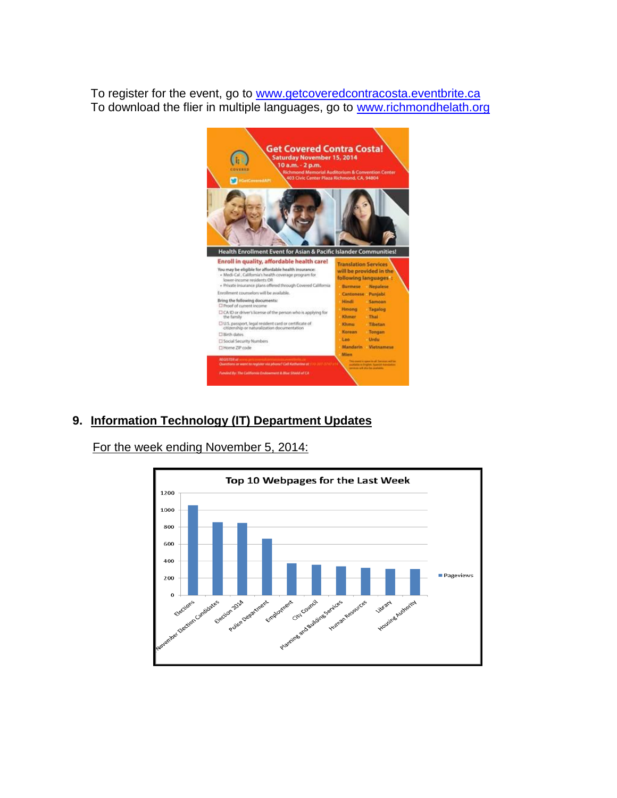To register for the event, go to [www.getcoveredcontracosta.eventbrite.ca](http://www.getcoveredcontracosta.eventbrite.ca/) To download the flier in multiple languages, go to [www.richmondhelath.org](http://www.richmondhelath.org/)



# **9. Information Technology (IT) Department Updates**

For the week ending November 5, 2014:

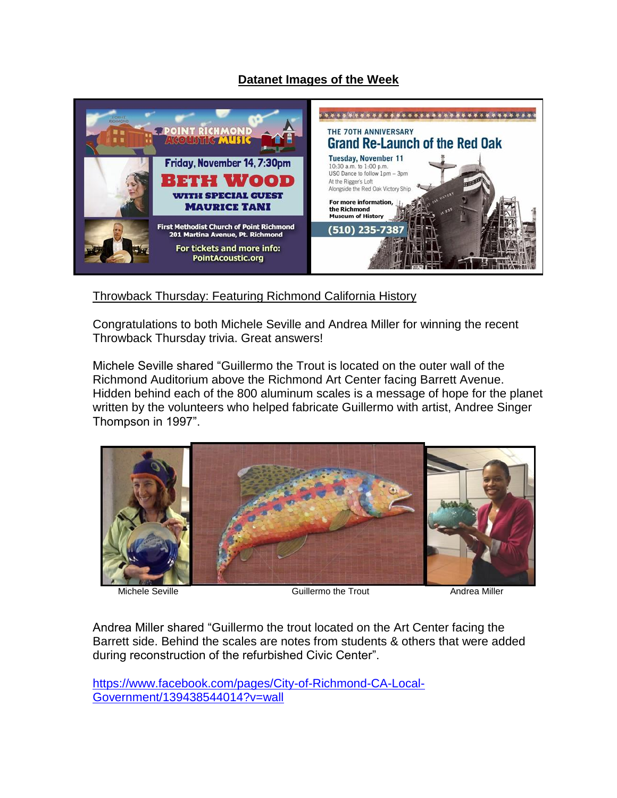## **Datanet Images of the Week**



Throwback Thursday: Featuring Richmond California History

Congratulations to both Michele Seville and Andrea Miller for winning the recent Throwback Thursday trivia. Great answers!

Michele Seville shared "Guillermo the Trout is located on the outer wall of the Richmond Auditorium above the Richmond Art Center facing Barrett Avenue. Hidden behind each of the 800 aluminum scales is a message of hope for the planet written by the volunteers who helped fabricate Guillermo with artist, Andree Singer Thompson in 1997".



Michele Seville **Guillermo the Trout** Guillermo the Trout **Andrea Miller** 

Andrea Miller shared "Guillermo the trout located on the Art Center facing the Barrett side. Behind the scales are notes from students & others that were added during reconstruction of the refurbished Civic Center".

[https://www.facebook.com/pages/City-of-Richmond-CA-Local-](https://www.facebook.com/pages/City-of-Richmond-CA-Local-Government/139438544014?v=wall)[Government/139438544014?v=wall](https://www.facebook.com/pages/City-of-Richmond-CA-Local-Government/139438544014?v=wall)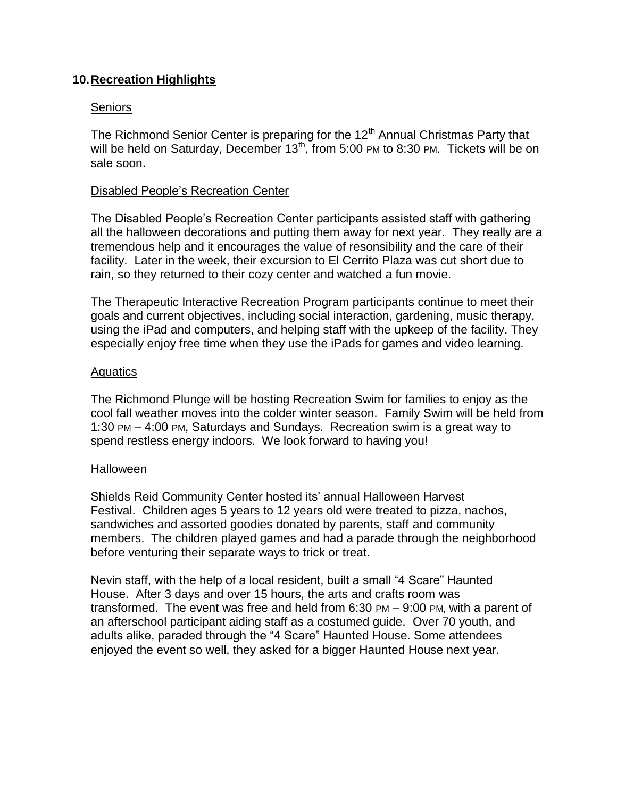## **10.Recreation Highlights**

### Seniors

The Richmond Senior Center is preparing for the 12<sup>th</sup> Annual Christmas Party that will be held on Saturday, December 13<sup>th</sup>, from 5:00 PM to 8:30 PM. Tickets will be on sale soon.

### Disabled People's Recreation Center

The Disabled People's Recreation Center participants assisted staff with gathering all the halloween decorations and putting them away for next year. They really are a tremendous help and it encourages the value of resonsibility and the care of their facility. Later in the week, their excursion to El Cerrito Plaza was cut short due to rain, so they returned to their cozy center and watched a fun movie.

The Therapeutic Interactive Recreation Program participants continue to meet their goals and current objectives, including social interaction, gardening, music therapy, using the iPad and computers, and helping staff with the upkeep of the facility. They especially enjoy free time when they use the iPads for games and video learning.

### **Aquatics**

The Richmond Plunge will be hosting Recreation Swim for families to enjoy as the cool fall weather moves into the colder winter season. Family Swim will be held from 1:30 PM – 4:00 PM, Saturdays and Sundays. Recreation swim is a great way to spend restless energy indoors. We look forward to having you!

#### **Halloween**

Shields Reid Community Center hosted its' annual Halloween Harvest Festival. Children ages 5 years to 12 years old were treated to pizza, nachos, sandwiches and assorted goodies donated by parents, staff and community members. The children played games and had a parade through the neighborhood before venturing their separate ways to trick or treat.

Nevin staff, with the help of a local resident, built a small "4 Scare" Haunted House. After 3 days and over 15 hours, the arts and crafts room was transformed. The event was free and held from 6:30 PM – 9:00 PM, with a parent of an afterschool participant aiding staff as a costumed guide. Over 70 youth, and adults alike, paraded through the "4 Scare" Haunted House. Some attendees enjoyed the event so well, they asked for a bigger Haunted House next year.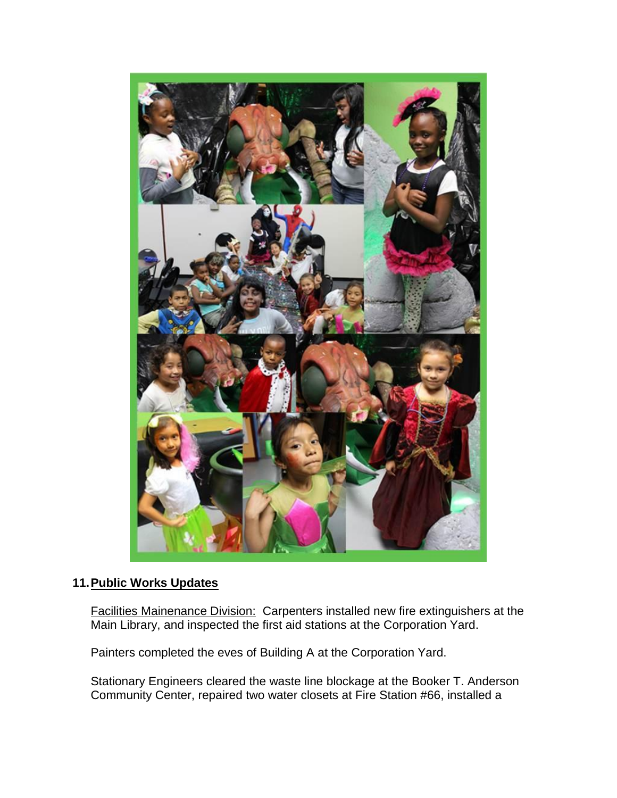

### **11.Public Works Updates**

Facilities Mainenance Division: Carpenters installed new fire extinguishers at the Main Library, and inspected the first aid stations at the Corporation Yard.

Painters completed the eves of Building A at the Corporation Yard.

Stationary Engineers cleared the waste line blockage at the Booker T. Anderson Community Center, repaired two water closets at Fire Station #66, installed a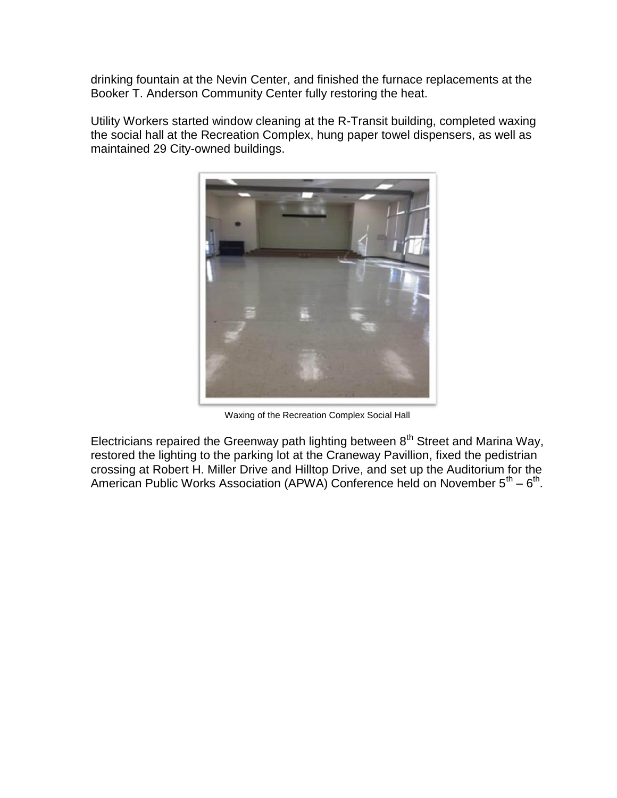drinking fountain at the Nevin Center, and finished the furnace replacements at the Booker T. Anderson Community Center fully restoring the heat.

Utility Workers started window cleaning at the R-Transit building, completed waxing the social hall at the Recreation Complex, hung paper towel dispensers, as well as maintained 29 City-owned buildings.



Waxing of the Recreation Complex Social Hall

Electricians repaired the Greenway path lighting between  $8<sup>th</sup>$  Street and Marina Way, restored the lighting to the parking lot at the Craneway Pavillion, fixed the pedistrian crossing at Robert H. Miller Drive and Hilltop Drive, and set up the Auditorium for the American Public Works Association (APWA) Conference held on November  $5^{th} - 6^{th}$ .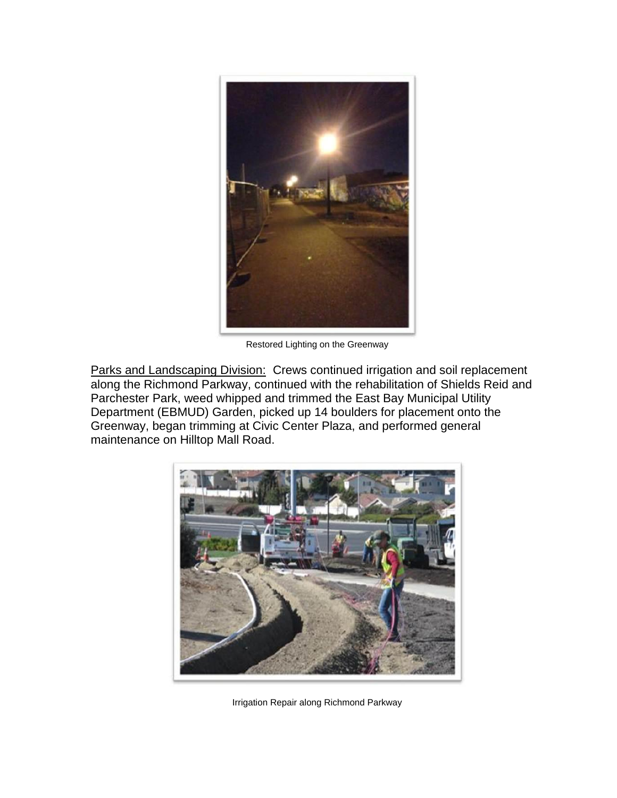

Restored Lighting on the Greenway

Parks and Landscaping Division: Crews continued irrigation and soil replacement along the Richmond Parkway, continued with the rehabilitation of Shields Reid and Parchester Park, weed whipped and trimmed the East Bay Municipal Utility Department (EBMUD) Garden, picked up 14 boulders for placement onto the Greenway, began trimming at Civic Center Plaza, and performed general maintenance on Hilltop Mall Road.



Irrigation Repair along Richmond Parkway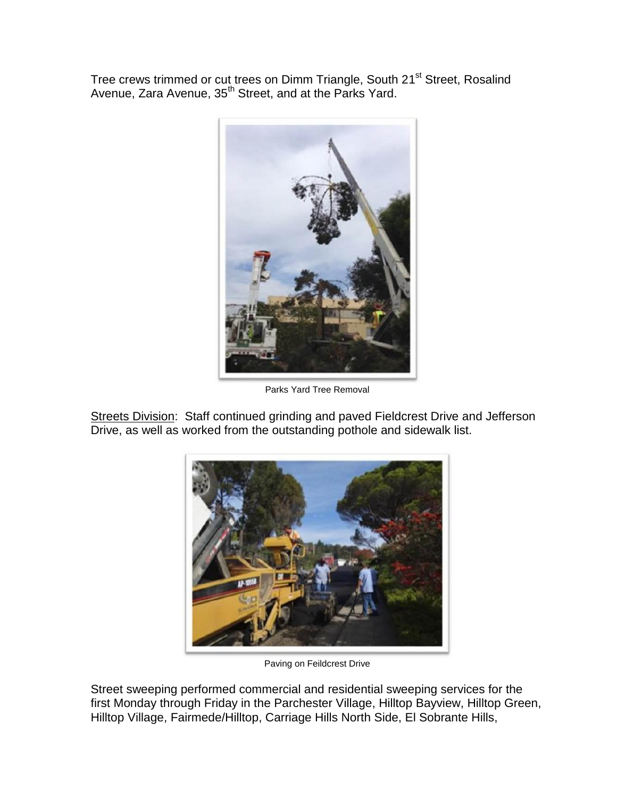Tree crews trimmed or cut trees on Dimm Triangle, South 21<sup>st</sup> Street, Rosalind Avenue, Zara Avenue, 35<sup>th</sup> Street, and at the Parks Yard.



Parks Yard Tree Removal

Streets Division: Staff continued grinding and paved Fieldcrest Drive and Jefferson Drive, as well as worked from the outstanding pothole and sidewalk list.



Paving on Feildcrest Drive

Street sweeping performed commercial and residential sweeping services for the first Monday through Friday in the Parchester Village, Hilltop Bayview, Hilltop Green, Hilltop Village, Fairmede/Hilltop, Carriage Hills North Side, El Sobrante Hills,